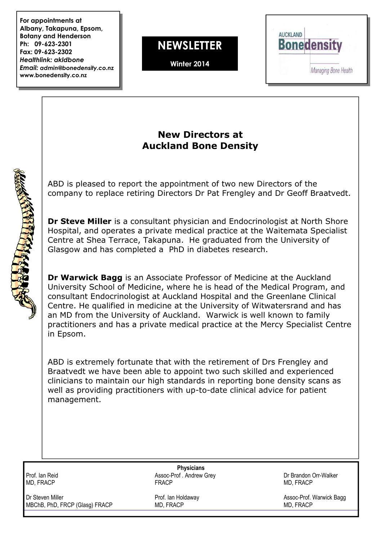For appointments at Albany, Takapuna, Epsom, Botany and Henderson Ph: 09-623-2301 Fax: 09-623-2302 Healthlink: akldbone Email: admin@bonedensity.co.nz www.bonedensity.co.nz

**NEWSLETTER** 

Winter 2014



## New Directors at Auckland Bone Density

ABD is pleased to report the appointment of two new Directors of the company to replace retiring Directors Dr Pat Frengley and Dr Geoff Braatvedt.

Dr Steve Miller is a consultant physician and Endocrinologist at North Shore Hospital, and operates a private medical practice at the Waitemata Specialist Centre at Shea Terrace, Takapuna. He graduated from the University of Glasgow and has completed a PhD in diabetes research.

Dr Warwick Bagg is an Associate Professor of Medicine at the Auckland University School of Medicine, where he is head of the Medical Program, and consultant Endocrinologist at Auckland Hospital and the Greenlane Clinical Centre. He qualified in medicine at the University of Witwatersrand and has an MD from the University of Auckland. Warwick is well known to family practitioners and has a private medical practice at the Mercy Specialist Centre in Epsom.

ABD is extremely fortunate that with the retirement of Drs Frengley and Braatvedt we have been able to appoint two such skilled and experienced clinicians to maintain our high standards in reporting bone density scans as well as providing practitioners with up-to-date clinical advice for patient management.

**SARA REPORT AND READER** 

Dr Steven Miller **No. 2008** 2009 Prof. Ian Holdaway **Assoc-Prof. Warwick Bagg** Prof. In Prof. Ian Holdaway **Assoc-Prof. Warwick Bagg** MBChB, PhD, FRCP (Glasg) FRACP MD, FRACP MD, FRACP

**Physicians** Prof. Ian Reid **Assoc-Prof. Andrew Grey** Chroness Assoc-Prof. Andrew Grey **Chroness Construction Construction Construction**<br>
MD. FRACP MD. FRACP MD, FRACP FRACP MD, FRACP